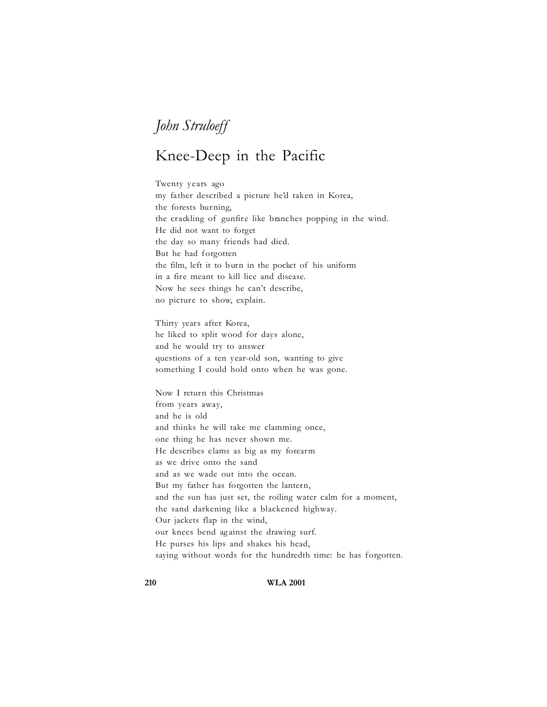## *John Struloeff*

## Knee-Deep in the Pacific

Twenty years ago my father described a picture he'd taken in Korea, the forests burning, the crackling of gunfire like branches popping in the wind. He did not want to forget the day so many friends had died. But he had forgotten the film, left it to burn in the pocket of his uniform in a fire meant to kill lice and disease. Now he sees things he can't describe, no picture to show, explain.

Thirty years after Korea, he liked to split wood for days alone, and he would try to answer questions of a ten year-old son, wanting to give something I could hold onto when he was gone.

Now I return this Christmas from years away, and he is old and thinks he will take me clamming once, one thing he has never shown me. He describes clams as big as my forearm as we drive onto the sand and as we wade out into the ocean. But my father has forgotten the lantern, and the sun has just set, the roiling water calm for a moment, the sand darkening like a blackened highway. Our jackets flap in the wind, our knees bend ag ainst the drawing surf. He purses his lips and shakes his head, saying without words for the hundredth time: he has forgotten.

**210 WLA 2001**